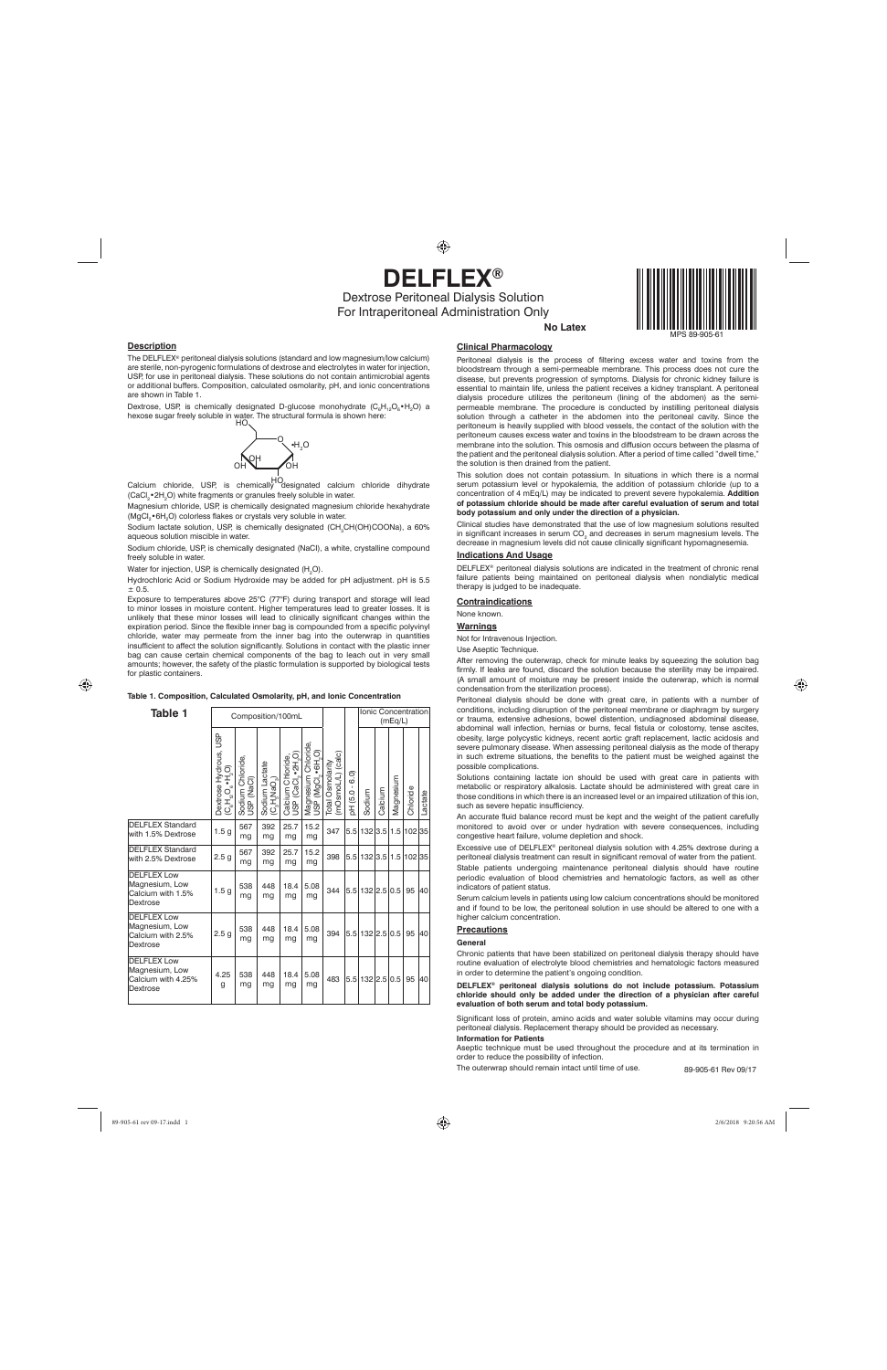# **Description**

The DELFLEX® peritoneal dialysis solutions (standard and low magnesium/low calcium) are sterile, non-pyrogenic formulations of dextrose and electrolytes in water for injection, USP, for use in peritoneal dialysis. These solutions do not contain antimicrobial agents or additional buffers. Composition, calculated osmolarity, pH, and ionic concentrations are shown in Table 1.

Calcium chloride, USP, is chemically designated calcium chloride dihydrate HO (CaCl<sub>2</sub> • 2H<sub>2</sub>O) white fragments or granules freely soluble in water.

Magnesium chloride, USP, is chemically designated magnesium chloride hexahydrate (MgCl<sub>2</sub> • 6H<sub>2</sub>O) colorless flakes or crystals very soluble in water.

Sodium lactate solution, USP, is chemically designated (CH<sub>3</sub>CH(OH)COONa), a 60% aqueous solution miscible in water.

Hydrochloric Acid or Sodium Hydroxide may be added for pH adjustment. pH is 5.5  $± 0.5.$ 

Sodium chloride, USP, is chemically designated (NaCI), a white, crystalline compound freely soluble in water.

Water for injection, USP, is chemically designated  $(\mathsf{H}_{\scriptscriptstyle{2}}\mathsf{O}).$ 

Exposure to temperatures above 25°C (77°F) during transport and storage will lead to minor losses in moisture content. Higher temperatures lead to greater losses. It is unlikely that these minor losses will lead to clinically significant changes within the expiration period. Since the flexible inner bag is compounded from a specific polyvinyl chloride, water may permeate from the inner bag into the outerwrap in quantities insufficient to affect the solution significantly. Solutions in contact with the plastic inner bag can cause certain chemical components of the bag to leach out in very small amounts; however, the safety of the plastic formulation is supported by biological tests for plastic containers.

### **Table 1. Composition, Calculated Osmolarity, pH, and Ionic Concentration**

**Table 1** Composition/100mL

⊕

Ionic Concentration (mEq/L)

|                                                                        | <b>GSD</b><br>Dextrose Hydrous,<br>$(C_{6}H_{12}O_{6} \cdot H_{2}O)$ | Sodium Chloride<br>USP (NaCl) | Sodium Lactate<br>$(C_sH_sNao_s)$ | Calcium Chloride,<br>USP (CaCl <sub>.2</sub> •2H <sub>2</sub> O) | Magnesium Chloride<br>USP (MgCl,∙6H <sub>2</sub> O) | (mOsmoL/L) (calc)<br>Total Osmolarity | 6.0)<br>$\blacksquare$<br>pH (5.0- | Sodium                 | Calcium | Magnesium | Chloride | Lactate |
|------------------------------------------------------------------------|----------------------------------------------------------------------|-------------------------------|-----------------------------------|------------------------------------------------------------------|-----------------------------------------------------|---------------------------------------|------------------------------------|------------------------|---------|-----------|----------|---------|
| <b>DELFLEX Standard</b><br>with 1.5% Dextrose                          | 1.5 <sub>g</sub>                                                     | 567<br>mg                     | 392<br>mg                         | 25.7<br>mg                                                       | 15.2<br>mg                                          | 347                                   |                                    | 5.5 132 3.5 1.5 102 35 |         |           |          |         |
| <b>DELFLEX Standard</b><br>with 2.5% Dextrose                          | 2.5 <sub>g</sub>                                                     | 567<br>mg                     | 392<br>mg                         | 25.7<br>mg                                                       | 15.2<br>mq                                          | 398                                   |                                    | 5.5 132 3.5 1.5 102 35 |         |           |          |         |
| <b>DELFLEX Low</b><br>Magnesium, Low<br>Calcium with 1.5%<br>Dextrose  | 1.5 <sub>g</sub>                                                     | 538<br>mg                     | 448<br>mg                         | 18.4<br>mg                                                       | 5.08<br>mg                                          | 344                                   |                                    | 5.5 132 2.5 0.5        |         |           | 95       | 40      |
| <b>DELFLEX Low</b><br>Magnesium, Low<br>Calcium with 2.5%<br>Dextrose  | 2.5 <sub>g</sub>                                                     | 538<br>mg                     | 448<br>mg                         | 18.4<br>mg                                                       | 5.08<br>mq                                          | 394                                   |                                    | 5.5 132 2.5 0.5        |         |           | 95       | 40      |
| <b>DELFLEX Low</b><br>Magnesium, Low<br>Calcium with 4.25%<br>Dextrose | 4.25<br>g                                                            | 538<br>mg                     | 448<br>mg                         | 18.4<br>mg                                                       | 5.08<br>mq                                          | 483                                   |                                    | 5.5 132 2.5 0.5        |         |           | 95       | 40      |

# **Clinical Pharmacology**

Peritoneal dialysis is the process of filtering excess water and toxins from the bloodstream through a semi-permeable membrane. This process does not cure the disease, but prevents progression of symptoms. Dialysis for chronic kidney failure is essential to maintain life, unless the patient receives a kidney transplant. A peritoneal dialysis procedure utilizes the peritoneum (lining of the abdomen) as the semipermeable membrane. The procedure is conducted by instilling peritoneal dialysis solution through a catheter in the abdomen into the peritoneal cavity. Since the peritoneum is heavily supplied with blood vessels, the contact of the solution with the peritoneum causes excess water and toxins in the bloodstream to be drawn across the membrane into the solution. This osmosis and diffusion occurs between the plasma of the patient and the peritoneal dialysis solution. After a period of time called "dwell time," the solution is then drained from the patient.

Dextrose, USP, is chemically designated D-glucose monohydrate  $(C_6H_{12}O_6\cdot H_2O)$  a hexose sugar freely soluble in water. The structural formula is shown here: HO

> This solution does not contain potassium. In situations in which there is a normal serum potassium level or hypokalemia, the addition of potassium chloride (up to a concentration of 4 mEq/L) may be indicated to prevent severe hypokalemia. **Addition of potassium chloride should be made after careful evaluation of serum and total body potassium and only under the direction of a physician.**

> Clinical studies have demonstrated that the use of low magnesium solutions resulted in significant increases in serum CO $_{_2}$  and decreases in serum magnesium levels. The decrease in magnesium levels did not cause clinically significant hypomagnesemia.

## **Indications And Usage**

DELFLEX® peritoneal dialysis solutions are indicated in the treatment of chronic renal failure patients being maintained on peritoneal dialysis when nondialytic medical therapy is judged to be inadequate.

# **Contraindications**

None known.

**Warnings**

Not for Intravenous Injection.

Use Aseptic Technique.

After removing the outerwrap, check for minute leaks by squeezing the solution bag firmly. If leaks are found, discard the solution because the sterility may be impaired. (A small amount of moisture may be present inside the outerwrap, which is normal condensation from the sterilization process).

Peritoneal dialysis should be done with great care, in patients with a number of conditions, including disruption of the peritoneal membrane or diaphragm by surgery or trauma, extensive adhesions, bowel distention, undiagnosed abdominal disease, abdominal wall infection, hernias or burns, fecal fistula or colostomy, tense ascites, obesity, large polycystic kidneys, recent aortic graft replacement, lactic acidosis and severe pulmonary disease. When assessing peritoneal dialysis as the mode of therapy in such extreme situations, the benefits to the patient must be weighed against the possible complications.

Solutions containing lactate ion should be used with great care in patients with metabolic or respiratory alkalosis. Lactate should be administered with great care in those conditions in which there is an increased level or an impaired utilization of this ion, such as severe hepatic insufficiency.

An accurate fluid balance record must be kept and the weight of the patient carefully monitored to avoid over or under hydration with severe consequences, including congestive heart failure, volume depletion and shock.

Excessive use of DELFLEX® peritoneal dialysis solution with 4.25% dextrose during a peritoneal dialysis treatment can result in significant removal of water from the patient.

Stable patients undergoing maintenance peritoneal dialysis should have routine periodic evaluation of blood chemistries and hematologic factors, as well as other indicators of patient status.

Serum calcium levels in patients using low calcium concentrations should be monitored and if found to be low, the peritoneal solution in use should be altered to one with a higher calcium concentration.

# **Precautions**

**General**

Chronic patients that have been stabilized on peritoneal dialysis therapy should have routine evaluation of electrolyte blood chemistries and hematologic factors measured in order to determine the patient's ongoing condition.

**DELFLEX® peritoneal dialysis solutions do not include potassium. Potassium chloride should only be added under the direction of a physician after careful evaluation of both serum and total body potassium.**

Significant loss of protein, amino acids and water soluble vitamins may occur during peritoneal dialysis. Replacement therapy should be provided as necessary.

#### **Information for Patients**

Aseptic technique must be used throughout the procedure and at its termination in order to reduce the possibility of infection.

The outerwrap should remain intact until time of use.



⊕

# **DELFLEX®**

Dextrose Peritoneal Dialysis Solution For Intraperitoneal Administration Only



**No Latex**

89-905-61 Rev 09/17

89-905-61 rev 09-17.indd 1 2/6/2018 9:20:56 AM 2/6/2018 9:20:56 AM